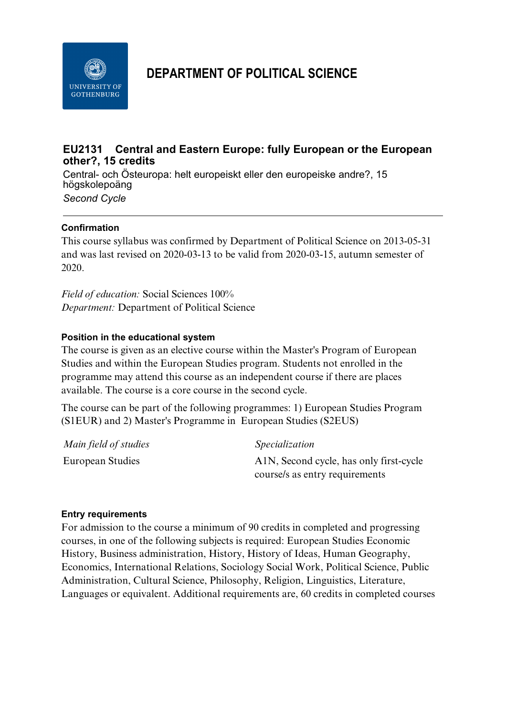

# **DEPARTMENT OF POLITICAL SCIENCE**

# **EU2131 Central and Eastern Europe: fully European or the European other?, 15 credits**

Central- och Östeuropa: helt europeiskt eller den europeiske andre?, 15 högskolepoäng *Second Cycle*

## **Confirmation**

This course syllabus was confirmed by Department of Political Science on 2013-05-31 and was last revised on 2020-03-13 to be valid from 2020-03-15, autumn semester of 2020.

*Field of education:* Social Sciences 100% *Department:* Department of Political Science

#### **Position in the educational system**

The course is given as an elective course within the Master's Program of European Studies and within the European Studies program. Students not enrolled in the programme may attend this course as an independent course if there are places available. The course is a core course in the second cycle.

The course can be part of the following programmes: 1) European Studies Program (S1EUR) and 2) Master's Programme in European Studies (S2EUS)

| Main field of studies | Specialization                          |
|-----------------------|-----------------------------------------|
| European Studies      | A1N, Second cycle, has only first-cycle |
|                       | course/s as entry requirements          |

#### **Entry requirements**

For admission to the course a minimum of 90 credits in completed and progressing courses, in one of the following subjects is required: European Studies Economic History, Business administration, History, History of Ideas, Human Geography, Economics, International Relations, Sociology Social Work, Political Science, Public Administration, Cultural Science, Philosophy, Religion, Linguistics, Literature, Languages or equivalent. Additional requirements are, 60 credits in completed courses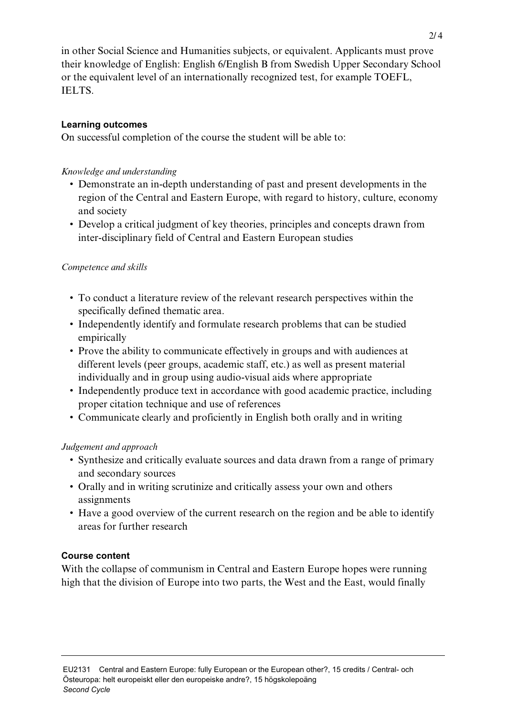in other Social Science and Humanities subjects, or equivalent. Applicants must prove their knowledge of English: English 6/English B from Swedish Upper Secondary School or the equivalent level of an internationally recognized test, for example TOEFL, IELTS.

## **Learning outcomes**

On successful completion of the course the student will be able to:

## *Knowledge and understanding*

- Demonstrate an in-depth understanding of past and present developments in the region of the Central and Eastern Europe, with regard to history, culture, economy and society
- Develop a critical judgment of key theories, principles and concepts drawn from inter-disciplinary field of Central and Eastern European studies

## *Competence and skills*

- To conduct a literature review of the relevant research perspectives within the specifically defined thematic area.
- Independently identify and formulate research problems that can be studied empirically
- Prove the ability to communicate effectively in groups and with audiences at different levels (peer groups, academic staff, etc.) as well as present material individually and in group using audio-visual aids where appropriate
- Independently produce text in accordance with good academic practice, including proper citation technique and use of references
- Communicate clearly and proficiently in English both orally and in writing

# *Judgement and approach*

- Synthesize and critically evaluate sources and data drawn from a range of primary and secondary sources
- Orally and in writing scrutinize and critically assess your own and others assignments
- Have a good overview of the current research on the region and be able to identify areas for further research

## **Course content**

With the collapse of communism in Central and Eastern Europe hopes were running high that the division of Europe into two parts, the West and the East, would finally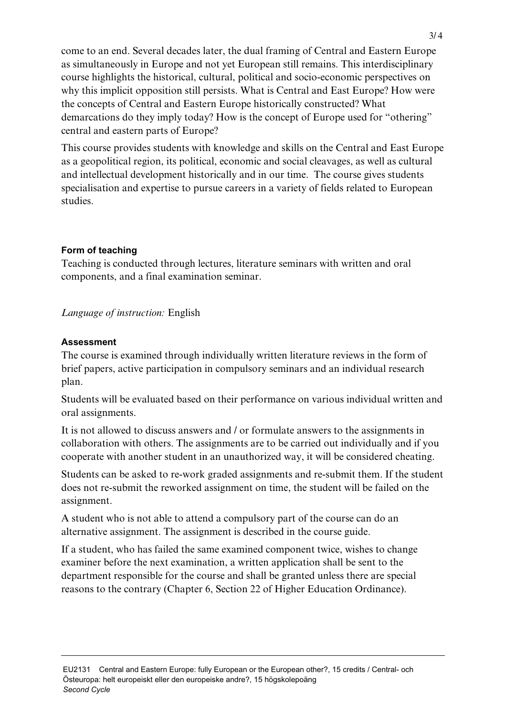come to an end. Several decades later, the dual framing of Central and Eastern Europe as simultaneously in Europe and not yet European still remains. This interdisciplinary course highlights the historical, cultural, political and socio-economic perspectives on why this implicit opposition still persists. What is Central and East Europe? How were the concepts of Central and Eastern Europe historically constructed? What demarcations do they imply today? How is the concept of Europe used for "othering" central and eastern parts of Europe?

This course provides students with knowledge and skills on the Central and East Europe as a geopolitical region, its political, economic and social cleavages, as well as cultural and intellectual development historically and in our time. The course gives students specialisation and expertise to pursue careers in a variety of fields related to European studies.

# **Form of teaching**

Teaching is conducted through lectures, literature seminars with written and oral components, and a final examination seminar.

## *Language of instruction:* English

## **Assessment**

The course is examined through individually written literature reviews in the form of brief papers, active participation in compulsory seminars and an individual research plan.

Students will be evaluated based on their performance on various individual written and oral assignments.

It is not allowed to discuss answers and / or formulate answers to the assignments in collaboration with others. The assignments are to be carried out individually and if you cooperate with another student in an unauthorized way, it will be considered cheating.

Students can be asked to re-work graded assignments and re-submit them. If the student does not re-submit the reworked assignment on time, the student will be failed on the assignment.

A student who is not able to attend a compulsory part of the course can do an alternative assignment. The assignment is described in the course guide.

If a student, who has failed the same examined component twice, wishes to change examiner before the next examination, a written application shall be sent to the department responsible for the course and shall be granted unless there are special reasons to the contrary (Chapter 6, Section 22 of Higher Education Ordinance).